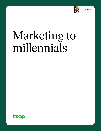

# Marketing to millennials

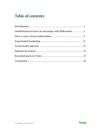# **Table of contents**

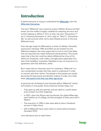## <span id="page-2-0"></span>**Introduction**

It seems everyone is trying to understand the [Millennials](https://en.wikipedia.org/wiki/Millennials), even the [Millennials themselves.](https://socalledmillennial.com/2013/11/05/why-are-the-generation-x-and-millennial-birth-years-so-muddled/)

The term "Millennial" was coined by authors William Strauss and Neil Howe, but the media is largely credited for adopting the term and further helping to define it. Prior to that, the term "Generation Y" (as in, following Generation X, with a play on "Why?"), "Generation Me," as well as some other terms were floated around. In the end, Millennial stuck.

Even the age range for Millennials is a center of debate. Generally, anyone born between 1984 and 2004 can be lumped into the Millennial category. But many argue that it's not so much the dates that are important but rather behavioral characteristics. This would mean that a Gen Xer could be called a Millennial by virtue of his affinity for SnapChat, craft coffee, and tight jeans (especially if he had a tidy handlebar mustache). Needless to say, not everyone is in agreement with that definition, either.

But it does raise an important point for marketers: "Millennial" is a very complicated concept that they need to understand in order to connect with their clients. The people in this bracket are quickly becoming the key buyers and decision makers of today. On a daily basis, [they spend more than any other age group](https://www.gobankingrates.com/saving-money/budgeting/how-much-average-american-spends-daily/).

A particular set of behaviors and interests define "Millennial" (which we'll explore in this guide). Some historical context helps, too:

- They grew up with the internet, and are used to a world where every answer is at their fingertips.
- In 2007, when the iPhone was introduced, the oldest Millennials were freshly out of college, and the youngest of them were still in diapers.
- The ones born in 1988 or later were able to have a Facebook account in high school.
- Half of Millennials have never lived in a world without Amazon (founded 1994).

Let's talk about how to reach them.

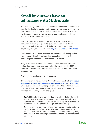# <span id="page-3-0"></span>**Small businesses have an advantage with Millennials**

The Millennial generation shares common interests and perspectives worldwide, thanks to the internet creating global communities online (not to mention the international impact of the Great Recession). For businesses using digital marketing, this emphasizes just how important it is to understand them.

But it can be a little difficult. This is a generation that grew up immersed in cutting edge digital culture but also has a strong nostalgic streak. For example, digital music continues to gain popularity, and yet, Millennials love [vinyl records and cassette tapes](https://www.forbes.com/sites/jasonevangelho/2016/03/24/forget-vinyl-lets-talk-about-the-cassette-comeback/#3d9ab2a34d71).

While outsiders see them as overly preoccupied with taking selfies, they are actually quite motivated by humanitarian causes, like protecting the environment or human rights issues.

They're drawn to products that exude human craft and care, but rather than exit mainstream culture like the hippies of the 1970s, they're quite content to balance that interest with mass-produced technologies.

And they love to champion small business.

This is where you have a very distinct advantage. And yet, only about [15 percent of small businesses actually market directly to Millennials](https://smallbiztrends.com/2015/06/small-business-marketing-to-millennials.html). Small businesses are in a great position to grab their attention. Three qualities of small business that resonate with Millennials can be summed up as "craft," "quirk," and "pluck."

- Craft: Millennials love products that have a beautiful design and are handmade or made with high quality. They especially love to discover the people behind the work—the real people working for the brand, investing creative energy and sweat equity.
- **Quirk:** Millennials are drawn especially to unique brands, and they really get into niche businesses. For them, the business' location and its investment in the surrounding community (both physically and online) matter. Nostalgic and fashion-conscious brands catch their eye.

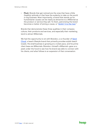• Pluck: Brands that get noticed are the ones that have a little (healthy) attitude or that have the audacity to take on the world or big business. Most importantly, a brand that stands up for humanitarian causes can be nearly as attractive to a Millennial as the product or service they sell. To them, patronizing the brand becomes a matter of joining a cause, or ["stickin' it to the man.](https://www.youtube.com/watch?v=37oJqWp4rJM)"

Brands that demonstrate these three qualities in their company culture, their products and services, and especially their marketing, tend to attract Millennials.

We had the opportunity to sit with Brandon, a co-founder of Sand [Cloud,](https://www.sandcloud.com/) a beach lifestyle brand that primarily provides stylish beach towels. His small business is growing at a rocket pace, and his prime client base are Millennials. Brandon—himself a Millennial—gave us a peek under the hood to see how his brand was able to connect with his clients, and what follows is an expansion of that conversation.

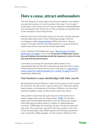## <span id="page-5-0"></span>**Have a cause, attract ambassadors**

The first thing you'll notice about Sand Cloud's website—even before you see their product—is a call to protect the ocean: "Live to give." Scroll down a few inches and you'll see an initiative to #savethefishies and a declaration that 10 percent of their proceeds are donated back to the company's marine life partners.

Brandon informed us that their cause is at the heart of their business and pervades every area of their marketing strategy. This kind of strategy is called [cause marketing](https://www.entrepreneur.com/article/197820). Millennials love to "shop to support," the idea that their purchase supports a cause, and that by supporting a brand, they can be socially responsible.

In fact, Deloitte's 2016 Millennial survey, "[Winning Over the Next](https://www2.deloitte.com/content/dam/Deloitte/global/Documents/About-Deloitte/gx-millenial-survey-2016-exec-summary.pdf)  [Generation of Leaders](https://www2.deloitte.com/content/dam/Deloitte/global/Documents/About-Deloitte/gx-millenial-survey-2016-exec-summary.pdf)," found that 87 percent of Millennials around the world believe that business should be measured in terms of more than just financial performance.

Consumers are looking for brands that demonstrate social responsibility. Brands that fail to demonstrate that they back a cause will fall behind the brands that do. And in the long run, supporting a [cause is good for small businesses for a number of reasons](https://www.coxblue.com/4-reasons-your-startup-or-small-business-needs-a-social-cause-or-mission/) beyond marketing to Millennials.

#### **Your business's cause should align with what you do**

We asked Sand Cloud's Brandon Leibel how he came up with a cause for his brand. He told us that it was an obvious fit. They were selling beach towels on the beaches of Southern California. He knew their business needed a cause, so they chose to save the oceans.

They picked a cause that was quite natural to their brand, but it doesn't always have to be so closely linked. [TOMS](https://www.toms.com/improving-lives), for example, began with founder Blake Mycoskie's vision for delivering a quality shoe while also providing shoes to children in underdeveloped countries. TOMS began by donating one pair of shoes for every pair they sold. The cause was a natural fit with their product. Over time as the business grew, they added apparel and clothing accessories even a specialty coffee package—to their product offering. At the

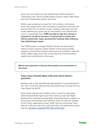same time, the mission for their philanthropic effort evolved to "Improving Lives," which includes better access to water, safer births, eye care in developing nations, and more.

While cause marketing is powerful, it isn't without controversy. Some have argued that cause marketing is exploitative because the brand profits from its efforts to give; however, advocates say that cause marketing is a great way for businesses to do philanthropic work in a sustainable way. TOMS was able to take the criticism it received for its efforts and use it constructively to evolve their efforts toward their cause, growing their business while widening their philanthropic impact.

The TOMS cause is no longer limited to shoes, but that doesn't matter to their customers. What matters is that every purchase supports a brand that's willing to share some of its profit to make the world a better place. And most convincing of all, the brand shows passion and commitment to the cause.

What's most important is that you show passion and commitment to the cause.

#### **Your cause should align with your ideal client's passions**

Brandon told us that the Millennial demographic is most interested in the "why" of a brand. Why are they doing what they're doing? How do they impact the world?

Simon Sinek calls this the "Golden Circle," in which he describes what sets brands like Apple apart from others, or why the Wright Brothers first achieved powered flight. Essentially there's a pattern to the success of businesses and individual, which he calls the "Golden Circle." Every organization knows "what" they do; some know "how" they do it. But very few know "why" they do it, the belief behind what they do. [He gives a masterful TED Talk on this topic.](https://www.youtube.com/watch?v=sioZd3AxmnE)

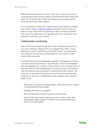Millennial consumers want to know "why" you're doing what you're doing because they tend to support brands whose values align with their own. A cause helps these consumers have an impact on the world via the brands they support.

If your business is looking for a great cause to get behind, consider your clients' values. [Customer avatars](https://learn.infusionsoft.com/customer-service/customer-experience/how-to-create-your-customer-avatar) are great tools to help you think through what kinds of causes your clients would get behind. The more your ideal client can resonate with your cause, the more powerful it will be for your brand.

#### **Ambassador marketing**

One of the most powerful ways that cause marketing can work for you is by creating a rallypoint for your biggest fans. With a cause behind your brand, they'll have an altruistic reason to advocate for your brand or to become an ambassador for your cause on their social media networks.

Consider Sand Cloud's ambassador program. "Ambassadors create a community around your brand," says Brandon. Sand Cloud engages with ambassadors in a number of ways, which in turn provides tons of opportunities for their ambassadors to announce their participation with the brand as they advocate for saving the world's oceans. The result is to extend Sand Cloud's social reach far beyond what they could do on their own. Ambassadors have a distinct role to play at Sand Cloud:

- They have to apply to be ambassadors, which gives them a sense of responsibility and privilege
- They get discounts on products
- They are featured on Sand Cloud's social channels
- Sand Cloud hosts beach cleanups as part of their cause, and ambassadors get a specific invitation to participate (although anyone can participate)

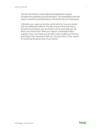The fact that there's a cause behind the ambassador program increases the excitement around the brand. The ambassadors love that there's a powerful social dimension to the brand they can boast about.

Ultimately, your cause can be the central point for how you interact with your Millennial audience. The fans of your brand may love to spread the word about you, but there's only so much they can say about your brand alone. When you support a meaningful effort outside of your own brand, you provide a way to make your fans feel good about their association with you. You give them a richer reason for preaching the good news of your brand.

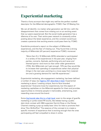## <span id="page-9-0"></span>**Experiential marketing**

There's a funny acronym that might very well be the perfect nutshell descriptor for the Millennial demographic: FOMO. Fear Of Missing Out.

We can all identify—no matter what generation we fall into—with the disappointment that comes from missing out on an exciting event that our peers experienced. But the social media generation has a dilemma of its own: Their entire peer network is constantly online posting about the latest experience, and the constant social buzz creates a paranoia that exciting events could pass them by. FOMO.

Eventbrite produced a [report](https://eventbrite-s3.s3.amazonaws.com/marketing/Millennials_Research/Gen_PR_Final.pdf) on the subject of Millennials, experiences, and the fear of missing out. They found that a strong majority of Millennials (69 percent) experience FOMO; moreover:

*"More than 8 in 10 Millennials (82%) attended or participated in a variety of live experiences in the past year, ranging from parties, concerts, festivals, performing arts and races and themed sports—and more so than other older generations (70%). But Millennials can't get enough. 72% say they would like to increase their spending on experiences rather than physical things in the next year, pointing to a move away from materialism and a growing demand for real-life experiences."*

Experiential marketing, aka engagement marketing, has been defined a number of ways, but [Agency 451 describes it best:](https://agency451.com/what-we-do) Experiential marketing is about "creating unique, face-to-face branded experiences." Everyone loves fun experiences, but this aspect of marketing capitalizes on the Millennial appetite for them and provides opportunities to immerse people in memorable, entertaining, even rewarding ones around the brand.

Some [big brands take this to a high level,](https://econsultancy.com/blog/65230-10-very-cool-examples-of-experiential-marketing/) even to the verge of guerilla marketing or jumbo-sized PR stunts, like Adidas having a public slam dunk contest with NBA superstar Derrick Rose or the Disney Channel creating a pop-up teddy bear clinic for kids to promote their show "Doc McStuffins." The essence of the concept is to create a specific moment of experience that is exciting enough that the ones participating will feel compelled to share it online.

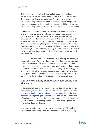To be clear, experiential marketing includes participatory interaction online as well as offline. Let's turn to Sand Cloud for some examples. Their business relies on Instagram and SnapChat to amplify the experiences they create (which we'll discuss in the next chapter), but these experiences are the core of the interactions. Following are two experiences they create for their audience, one offline and one online:

Offline: Sand Cloud's cause—preserving the ocean—is at the core of the experience. Sand Cloud organizes beach cleanups, where participants volunteer to collect trash. The experience is fully branded with product giveaways to add to the fun and energy. This is an opportunity for the Sand Cloud community to join in an event. The shared experience, the giveaways, and the beach setting provide tons of photo and video opportunities, lighting up social media with their brand, building a titillating feeling of FOMO on the wider social network, and causing them to look into how they can get onboard with the next event.

Online: Sand Cloud invites their customers to participate directly in the development of their products by polling them on new designs before they launch. This creates a simple online experience that produces feelings of personal ownership and investment in the brand. Of course this kind of experience, too, encourages a little bragging on social media, which, in turn, creates a fear of missing out in the participants' wider networks. The FOMO can inspire people to sign up to follow the brand so they, too, can vote in the next round.

#### **The power of taking offline experiences online (and vice versa)**

If the Millennial generation has taught us anything about life in the internet age, it's that humans are capable of experiencing life online and offline simultaneously. To keep up, brands need to find a way to [seamlessly bridge the gap between online and offline.](https://theblog.adobe.com/bridging-gap-online-offline-customer-experiences/) In the world of marketing lingo, this is affectionately known as "Online To Offline" (O2O). It's the act of finding clients online and bringing them to physical buying experiences.

It can be flipped the other way, too, to mean taking offline, physical experiences and turning them into online moments worth sharing.

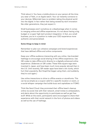Think about it: You have a mobile phone on your person all the time; you wear a Fitbit, or an Apple watch. Your car instantly connects to your devices. Millennials have no problem taking the physical world into the digital. In fact rather than being wowed by tech innovation like older generations, they just expect it.

Small businesses aren't somehow at a disadvantage when it comes to merging online and offline experiences. It's not about having a big budget or a super high-tech product integration. In fact, as a small business, you're in a position to make your O2O experience more authentic and personalized.

#### Some things to keep in mind:

Remember to plan out cohesive campaigns and brand experiences that have defined offline and online components

Keep your offline audience interacting with you online. Use [branded](https://sproutsocial.com/insights/create-a-hashtag/)  [hashtags](https://sproutsocial.com/insights/create-a-hashtag/) to encourage social sharing of the offline experience. Use [QR codes](https://blog.kissmetrics.com/genius-qr-codes/) to take offline print directly to a digitally enhanced online experience. (Sidenote on QR codes: These little square tags were invented in Japan, and have been much more popular abroad than in the U.S. Until recently, QR reader apps have been a bit clunky, which hurt their popularity. But [SnapChat began using them, and suddenly,](https://techcrunch.com/2015/05/04/snapcode/)  [they're cool again](https://techcrunch.com/2015/05/04/snapcode/).)

Use online interactions to drive to offline events or storefronts. This can be as simple as a coupon valid for a specific location or event, or a social whisper campaign that builds buzz and capitalizes on FOMO.

Think like Sand Cloud: they promoted their offline beach cleanup online via social chat with their network, email invites to ambassadors, and alerts about the opportunity to participate as well as get free stuff. While at the event, participants were encouraged to share their experience with their social network in the form of photos and videos as well as the use of hashtags.

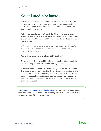## <span id="page-12-0"></span>**Social media behavior**

While social media has changed the world, the Millennials are the early adopters who vetted new platforms as they emerged. Social media has defined Millennials as much as they've influenced the evolution of social media.

"Of course, social media isn't solely for Millennials. Gen Z, the post-Millennial generation, has already started to use social media in their own unique way. Gen-Xers and Baby Boomers have adopted social in their own ways, too.

In fact, of all the spaces where the term "Millennial" tends to refer more to a particular set of behaviors rather than simply an age bracket, it's social media.

### **Your choice of social channels matters**

As we've been discussing, Millennial social use is a reflection of the fear of missing out and experience-sharing lifestyle.

When Millennials interact with brands, they look for the experience. The experience can be related to the craft aspect of the brand (the human interactions or the beauty of the product), or it can relate to the quirk aspect (the nostalgia or local community connection), or even the pluck of the brand (the audacity to take on the world or champion a cause).

Fact: [One-third \(33 percent\) of Millennials](https://www.marketingsherpa.com/article/chart/channels-preferred-by-age-groups) identify social media as one of their preferred channels for communicating with businesses. Less than 5 percent of those 55 and older agree.

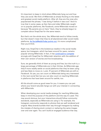It's important to keep in mind where Millennials hang out and how they use social. We think of Millennials as simply flocking to the latest and greatest social media platform. After all, they are the ones who popularized the phrase, "I was doing X before it was cool." And it's true that in some cases, as Gen Xers and older Millennials caught on to popular platforms, like Facebook, some Millennials moved on because "My parents are on here." Heck, they've already begun to complain about SnapChat for the same reason.

But that's not the whole story. Yes, Millennials tend to follow trends, but that doesn't mean that they've all abandoned older social media platforms. [As SocialMediaToday points out](https://www.socialmediatoday.com/social-networks/millennials-and-social-media-its-more-complicated-you-think), it's more complicated than you'd think.

Right now, SnapChat is the boisterous newbie in the social media space, but Instagram, which has been around for years, remains popular among Millennials. In fact, it has [continued to compete](https://www.socialmediatoday.com/social-networks/7-important-reasons-why-instagram-stories-superior-snapchat) strongly with SnapChat for Millennials' attention with the addition of their own version of stories and live broadcasting.

Sure, we generally think of them as young and free, but the truth is, a large percentage of Millennials are in their thirties. As Millennials age, they'll more readily settle on social platforms that they've been using and less likely to move on. Look, [41 percent of Millennials are still on](https://www.forbes.com/sites/laurenfriedman/2016/12/29/4-millennial-social-media-trends-to-watch-in-2017/#5b9b9256e695)  [Facebook.](https://www.forbes.com/sites/laurenfriedman/2016/12/29/4-millennial-social-media-trends-to-watch-in-2017/#5b9b9256e695) So yes, you can count on Millennials being very interested in the next social fad, but you can also count on reaching Millennials in platforms that have been around for awhile, too.

All this should come as good news for you. It means you can pair where your brand naturally hangs out with your interest in connecting with Millennials.

When developing your social media strategy for reaching Millennials, keep in mind the purpose of the platform and the way it's used. This may sound obvious, but your interactions should follow community standards, especially as Millennials are using it. For example, the Instagram community responds to photos that are well rendered and original. Many brands bumble their way through Instagram by making the mistake of sharing stock content or resharing the same images over and over again. You can't build an engaged audience that way.

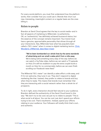For every social platform, you must first understand how the platform works, then consider how you could use it. Brands that churn out new, interesting, meaningful content on a regular basis are the ones killing it.

#### **Relate to people**

Brandon at Sand Cloud agrees that the key to social media—and in fact all aspects of marketing to Millennials—is authenticity. OK, so "authenticity" has definitely achieved buzzword status, but the essence of the concept remains important: Your brand must have a genuine, approachable personality that shines through all your interactions. See, Millennials have what has popularly been called a "B.S. meter" when it comes to digital marketing tactics. [Chris](https://www.linkedin.com/pulse/how-we-should-marketing-millennials-chris-woodard/)  [Woodard, a Millennial, describes it best](https://www.linkedin.com/pulse/how-we-should-marketing-millennials-chris-woodard/):

"We've been bombarded our whole lives by the same standards of advertising and can smell a sales pitch from a mile away. We're being sold something every step of the way: before we can watch a YouTube video, before we can watch a TV episode on Hulu (I'm still too stubborn to pay the extra couple bucks a month on Hulu for no commercials), before we can even finish scrolling our Facebook news feed."

The Millennial "B.S. meter" can identify a sales effort a mile away, and if it's not welcome, they tune it out. They don't respond to digital marketing like that. Instead, they prefer to relate to brands and buy when they're ready. This means that brands must remember that they are interacting with a social network rather than a whole lot of prospects.

To do it right, every interaction should feel natural to your audience. Brandon defined the authenticity of the Sand Cloud brand in this way: "We don't try to be cool; we just try to relate to people." This is what social is all about. You can be cool, just don't spend your efforts trying to be cool. That's inauthentic. Instead, spend your efforts relating to your audience. Your followers will totally think that's cool... and authentic.

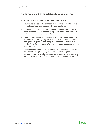## **Some practical tips on relating to your audience:**

- Identify why your clients would want to relate to you.
- Your cause is a powerful connection that enables you to have a multidimensional conversation with your audience.
- Remember that they're interested in the human element of your small business. Video with the real people behind the scenes will make your business come alive to your audience.
- Creating and sharing your own original content feels way more authentic than barraging your audience with recycled memes and quotable quotes. (Yes, people do respond to these, but in moderation. Sprinkle them into your mix rather than making them your mainstay.)
- Great example from Sand Cloud: they know that their followers care about saving beaches, so they may walk along the beach, see a piece of trash, and take a quick snap of them picking it up and saying something like, "Change happens one moment at a time."

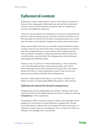## <span id="page-16-0"></span>**Ephemeral content**

Ephemeral content simply means content that exists for a period of time and then disappears. Millennials have latched onto ephemeral content, and it's quickly become a powerful way for marketers to connect with Millennial audiences.

Think for a second about how Generation X and prior interacted with photos: it was an analog process—you had to shoot the whole roll of film (generally 24 shots/roll) and have it developed before you could ever see what you'd captured. Images were about past experiences.

Along comes digital and now you can take a nearly unlimited number of shots, and you can share them with as many people as you'd like in real time. Image sharing on social is about what's happening now. From a behavior standpoint, ephemeral photos reflect the way we normally share on social media. But disappearing media add some advantages that Millennials want.

Privacy is one. If a photo is a little embarrassing, it won't resurface in an uncomfortable setting. A potential employer won't find it when they search your name during the hiring process. This means people are freer to create ephemeral content, they can be more spontaneous and less inhibited with consequences.

Second, it adds urgency. Be there, or you'll miss it. Check it out before it's gone. It's what keeps Millennials glued to their phones.

## **Ephemeral content for brand transparency**

Disappearing content emphasizes the moment, making it feel more natural and off the cuff. Millennials see this kind of content as offering transparency in their experience.

Transparency refers to having a sincere, visible, and accessible online presence for the person's social following to engage with. People trust their peers to deliver the most honest information because, in a relational context, they are "transparent." That is, they don't hide true feelings or knowledge from one another.

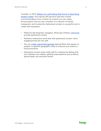Consider: in 2013, [Nielsen ran a poll asking what forms of advertising](https://www.nielsen.com/us/en/insights/news/2013/under-the-influence-consumer-trust-in-advertising.html)  [people trusted](https://www.nielsen.com/us/en/insights/news/2013/under-the-influence-consumer-trust-in-advertising.html). The majority (84 percent) said they trusted a recommendation from a friend. As a brand, you can create the perception that you are a member of a network of friends, transparent, and trustworthy. Ephemeral content is a powerful tool to create that impression.

- Platforms like Snapchat, Instagram, Periscope (Twitter), [and more](https://www.pastemagazine.com/articles/2016/08/lets-get-ephemeral-10-apps-where-content-doesnt-la.html) provide ephemeral content
- Authentic interactions work best with ephemeral content—short engaging bursts do very well
- You can [create customized geotags](https://www.socialmediaexaminer.com/how-to-create-a-snapchat-geofilter-for-your-event/) (special filters that appear to people in a specific geographic area) to enhance your events or local promotions
- Ephemeral content works really well for creating the feeling that your followers are insiders, getting sneak peeks at new products, special deals, and exclusive events

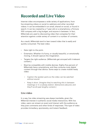## <span id="page-18-0"></span>**Recorded and Live Video**

Internet video encompasses a wide variety of applications, from live streaming videos on social to webinars and other recorded videos. It can be embedded in an email, shared on social, or found in search. It can be created by a 7-year-old on a smartphone, a Fortune 500 company with a big budget, and anyone in between. In fact, Millennials are used to discovering video that competes for their attention against a wide variety of content in a number of contexts.

As a result, Millennials tend to lean toward video that is easily and quickly consumed. The best video:

- Gets right to the point.
- Entertains. Whether it's funny, or visually beautiful, or emotionally moving, it should capture the imagination.
- Targets the right audience. (Millennials get annoyed with irrelevant content.)
- Must be compatible with mobile devices. Eighty-five percent of Millennials have a smartphone, and they consume most digital content through that device. Some ways to create mobile-ready video:
	- Caption the spoken parts so the video can be watched without sound.
	- Keep it short. (Imagine they're watching this in between meetings or in a subway station: distractions abound, and they'll scroll past lengthy content.)

### **Live video**

In a way, live video streaming was always inevitable, given the Millennial interest in authentic social media interactions. With live video, users can stream an event and interact with the audience as they post comments and other kinds of responses. This type of video provides immediacy, spontaneity, and instant feedback.

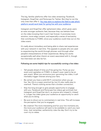The big, familiar platforms offer live video streaming: Facebook, Instagram, SnapChat, and Periscope for Twitter. But they're not the only ones that offer it. [You may want to explore the field to see which](https://www.practicalecommerce.com/12-Apps-for-Live-streaming-Video)  [platform would work best for going live with your audience.](https://www.practicalecommerce.com/12-Apps-for-Live-streaming-Video)

Instagram and SnapChat offer ephemeral video, which gives users an even stronger authentic feel, because they can behave freer on the video knowing that it won't last forever. It promotes more emotion, more edgy content, and especially a sense of exclusivity that contributes to FOMO, since your audience could miss out on the video event.

It's really about immediacy and being able to share real experiences with your network in real time. This appeals to people who are used to experiencing the world through phones—and through other people's interpretations of their experiences. Being live works exceptionally well when there's an event associated with it, though live interviews can also be fun.

#### Following are some helpful tips for successfully running a live video:

- Tell people ahead of time you'll be going live. Pump up your event and capitalize on FOMO—it doesn't even need to be an epic event. When you announce your upcoming live video, it will inevitably trigger interest among your fans.
- Be certain you have a solid Wi-Fi connection when you go live. Yes, this is a super practical tip, but it's also really easy to overlook. There's nothing worse than a broken connection.
- Stay live long enough to give people opportunity to engage with you. Facebook and Periscope live videos get archived, but Instagram and SnapChat don't, so anyone who missed it, missed it. Longer live video gives your audience an opportunity to catch what you're doing.
- Be sure to shout out to commenters in real time. This will increase the perception that you're engaged.
- Be creative! The more interesting and fun your live moments are, the more your audience will want to be available to catch you next time. Just remember, authenticity rules the day. Don't try to be cool—try to relate.